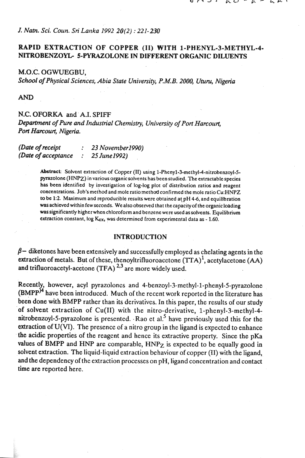# *J. Natn. Sci. Coun.* **Sri** *Lanka 1992* **20(2)** : *221-230*

# **RAPID EXTRACTION OF COPPER (11) WITH l-PHENYL-3-METHYL-4- NITROBENZOYL- 5-PYRAZOLONE IN DIFFERENT ORGANIC DILUENTS**

### M.O.C. OGWUEGBU,

*School* **of** *Physical Sciences, Abia State Univemity, P.M.B.* **2OOO,** *Uturu, Nigericr* 

**AND** 

## N.C. OFORKA and A.I. SPIFF

*Department* **of** *pure and Industrial Chemistry, Universip of Port Harcourt,*  Port Harcourt, Nigeria.

| (Date of receipt<br>(Date of acceptance | $\mathcal{L}$ | 23 November 1990)<br>25 June 1992) |
|-----------------------------------------|---------------|------------------------------------|

Abstract: Solvent extraction of Copper (II) using 1-Pheny1-3-methyl-4-nitrobenzoyl-5pyrazolone **(HNPZ)** in various organicsolvents has been studied. The extractablespecies has been identified by investigation of log-log plot of distribution ratios and reagent concentrations. Job's method and mole ratiomethd confirmed the mole ratio Cu:HNPZ to be 1:2. Maximum and reproducible results were obtained at pH 4-6, and equilibration was achieved within few seconds. We also observed that the capacity of the organic loading was significantly higher when chloroform and benzene were used as solvents. Equilibrium extraction constant, log K<sub>ex</sub>, was determined from experimental data as - 1.60.

### **INTRODUCTION**

 $\beta$  – diketones have been extensively and successfully employed as chelating agents in the extraction of metals. But of these, thenoyltrifluoroacetone  $(TTA)^{1}$ , acetylacetone (AA) and trifluoroacetyl-acetone (TFA)  $2.3$  are more widely used.

Recently, however, acyl pyrazolones and 4-benzoyl-3-methyl-1-phenyl-5-pyrazolone  $(BMPP<sup>14</sup>)$  have been introduced. Much of the recent work reported in the literature has been done with BMPP rather than its derivatives. In this paper, the results of our study of solvent extraction of Cu(I1) with the nitro-derivative, l-phenyl-3-methyl-4 **nitrobenzoyl-5-pyrazolone** is presented. - Rao et a15 have previously used this for the extraction of **U(V1).** The presence of a nitro group in the ligand is expected to enhance the acidic properties of the reagent and hence its extractive property. Since the pKa values of BMPP and HNP are comparable,  $HNP<sub>Z</sub>$  is expected to be equally good in solvent extraction. The liquid-liquid extraction behaviour of copper (11) with the ligand, and the dependency of the extraction processes on pH, ligand concentration and contact time are reported here.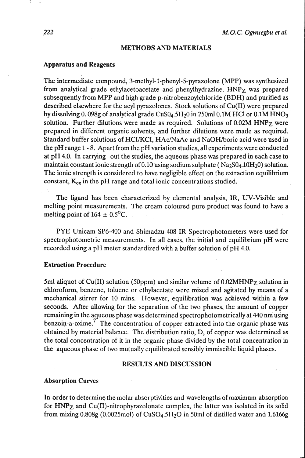## **METHODS AND MATERIALS**

### **Apparatus and Reagents**

The intermediate compound, 3-methyl-1-phenyl-5-pyrazolone (MPP) was synthesized from analytical grade ethylacetoacetate and phenylhydrazine. HNFz was prepared subsequently from MPP and high grade p-nitrobenzoylchloride (BDH) and purified as described elsewhere for the acyl pyrazolones. Stock solutions of Cu(I1) were prepared by dissolving 0.098g of analytical grade  $CuS0<sub>4</sub>.5H<sub>2</sub>0$  in 250ml 0.1M HCl or 0.1M HNO<sub>3</sub> solution. Further dilutions were made as required. Solutions of 0.02M HNP<sub>Z</sub> were prepared in different organic solvents, and further dilutions were made as required. Standard buffer solutions of HCI/KCI, HAc/NaAc and NaOH/boric acid were used in the pH range 1 - 8. Apart from the pH variation studies, all experiments were conducted at pH 4.0. In carrying out the studies, the aqueous phase was prepared in each case to maintain constant ionic strength of  $0.10$  using sodium sulphate (Na<sub>2</sub>S0<sub>4</sub>.10H<sub>2</sub>0) solution. The ionic strength is considered to have negligible effect on the extraction equilibrium constant, K<sub>ex</sub> in the pH range and total ionic concentrations studied.

The ligand has been characterized by elemental analysis, IR, UV-Visible and melting point measurements. The cream coloured pure product was found to have a melting point of  $164 \pm 0.5$ <sup>o</sup>C.

PYE Unicam SP6-400 and Shimadzu-408 IR Spectrophotometers were used for spectrophotometric measurements. 1n all cases, the initial and equilibrium pH were recorded using a pH meter standardized with a buffer solution of pH 4.0.

### **Extraction Procedure**

5ml aliquot of Cu(I1) solution (50ppm) and similar volume of 0.02MHNFz solution in chloroform, benzene, toluene or ethylacetate were mixed and agitated by means of a mechanical stirrer for 10 mins. However, equilibration was achieved within a few seconds. After allowing for the separation of the two phases, the amount of copper remaining in the aqueous phase was determined spectrophotometrically at 440 **nm** using benzoin-a-oxime? The concentration of copper extracted into the organic phase was obtained by material balance. The distribution ratio, D, of copper was determined as the total concentration of it in the organic phase divided by the total concentration in the aqueous phase of two mutually equilibrated sensibly immiscible liquid phases.

### **RESULTS AND DISCUSSION**

### **Absorption Curves**

**In** order to determine the molar absorptivities and wavelengths of maximum absorption for HNPz and **Cu(I1)-nitrophyrazolonate** complex, the latter was isolated in its solid from mixing  $0.808g(0.0025 \text{mol})$  of CuSO<sub>4</sub>.5H<sub>2</sub>O in 50ml of distilled water and 1.6166g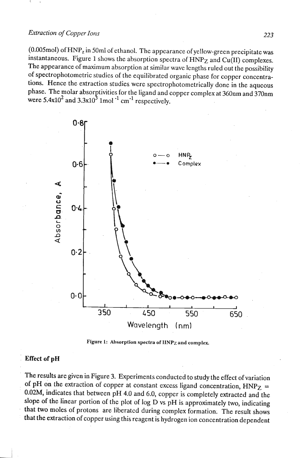# *Extraction of Copper Ions* 223

(0.005mol) of **HNP,** in 50ml of ethanol. The appearance of yellow-green precipitate was instantaneous. Figure 1 shows the absorption spectra of **HNPz** and Cu(1I) complexes. The appearance of maximum absorption at similar wave lengths ruled out the possibility of spectrophotometric studies of the equilibrated organic phase for copper concentrations. Hence the extraction studies were spectrophotometrically done in the aqueous phase. The molar absorptivities for the ligand and copper complex at 360nm and 370nm were  $5.4 \times 10^{2}$  and  $3.3 \times 10^{3}$  1mol <sup>-1</sup> cm<sup>-1</sup> respectively.



Figure 1: Absorption spectra of HNP<sub>Z</sub> and complex.

### **Effect of pH**

The results are given in Figure 3. Experiments conducted to study the effect of variation of pH on the extraction of copper at constant excess ligand concentration,  $HNP_Z$  = **0.02M,** indicates that between pH 4.0 and 6.0, copper is completely extracted and the slope of the linear portion of the plot of log D vs pH is approximately two, indicating that two moles of protons are liberated during complex formation. The result shows that the extraction of copper. using this reagent is hydrogen ion concentration dependent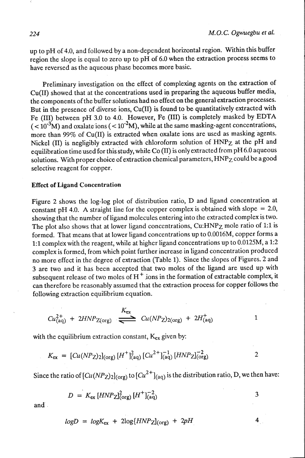$\mathbf{1}$ 

3

 $4<sub>1</sub>$ 

up to pH of 4.0, and followed by a non-dependent horizontal region. Within this buffer region the slope is equal to zero up to pH of 6.0 when the extraction process seems to have reversed as the aqueous phase becomes more basic.

Preliminary investigation on the effect of complexing agents on the extraction of Cu(I1) showed that at the concentrations used **in** preparing the aqueous- buffer media, the components of the buffer solutions had no effect on the general extraction processes. But in the presence of diverse ions, Cu(I1) is found to be quantitatively extracted with Fe (111) between pH 3.0 to 4.0. However, Fe (III) is completely masked by EDTA  $(<$  10<sup>-3</sup>M) and oxalate ions  $(<$  10<sup>-2</sup>M), while at the same masking-agent concentrations, more than 99% of Cu(I1) is extracted when oxalate ions are used as masking agents. Nickel (11) is negligibly extracted with chloroform solution of HNPz at the pH and equilibration time used for this study, while Co (11) is only extracted from pH 6.0 aqueous solutions. With proper choice of extraction chemical parameters, HNPz could be agood selective reagent for copper.

### **Effect of Ligand Concentration**

Figure 2 shows the log-log plot of distribution ratio, D and ligand concentration at constant pH 4.0. A straight line for the copper complex is obtained with slope  $= 2.0$ , showing that the number of ligand molecules entering into the extracted complex is two. The plot also shows that at lower ligand concentrations, Cu:HNP<sub>Z</sub> mole ratio of 1:1 is formed. That means that at lower ligand concentrations up to 0.0016M, copper forms a 1:l complex with the reagent, while at higher ligand concentrations up to 0.0125M, a 1:2 complex is formed, from which point further increase in ligand concentration produced no more effect in the degree of extraction (Table 1). Since the slopes of Figures. 2 and 3 are two and it has been accepted that two moles of the ligand are used up with subsequent release of two moles of  $H^+$  ions in the formation of extractable complex, it can therefore be reasonably assumed that the extraction process for copper follows the following extraction equilibrium equation.

$$
Cu_{\text{(aq)}}^{2+} + 2HNP_{\text{Z(org)}} \stackrel{K_{\text{ex}}}{\Longleftarrow} Cu(NP_{\text{Z}})_{2(\text{org})} + 2H_{\text{(aq)}}^{+}
$$

with the equilibrium extraction constant, K<sub>ex</sub> given by:

$$
K_{\rm ex} = [Cu(NP_{Z})_2]_{\rm (org)} [H^+]_{\rm (aq)}^2 [Cu^{2+}]_{\rm (aq)}^{-1} [HNP_{Z}]_{\rm (org)}^{-2}
$$

Since the ratio of  $\left[\frac{Cu(NP_Z)}{2\sigma}\right]_{(org)}$  to  $\left[\frac{Cu^{2+}}{aq}\right]_{(aq)}$  is the distribution ratio, D, we then have:

$$
D = K_{\rm ex} [HNP_{\rm Z}]_{(\rm org)}^2 [H^+]_{(aq)}^{-2}
$$

and.

$$
logD = logK_{ex} + 2log(HNP_{Z}|_{(org)} + 2pH
$$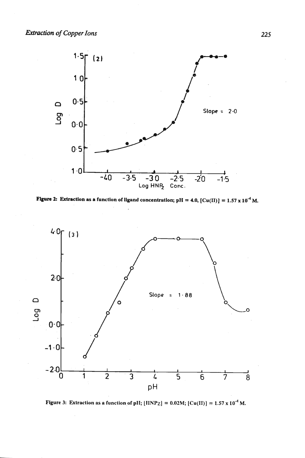





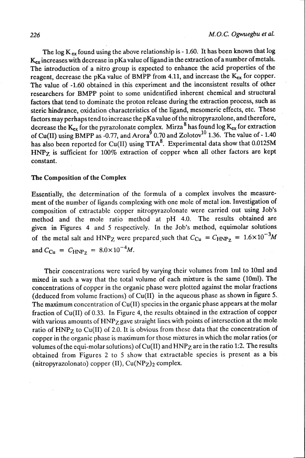The log  $K_{ex}$  found using the above relationship is - 1.60. It has been known that log  $K_{ex}$  increases with decrease in pKa value of ligand in the extraction of a number of metals. The introduction of a nitro group is expected to enhance the acid properties of the reagent, decrease the pKa value of BMPP from 4.11, and increase the K<sub>ex</sub> for copper. The value of -1.60 obtained in this experiment and the inconsistent results of other researchers for BMPP point to some unidentified inherent chemical and structural factors that tend to dominate the proton release during the extraction process, such as steric hindrance, oxidation characteristics of the ligand, mesomeric effects, etc. These factors may perhaps tend to increase the pKa value of the nitropyrazolone, and therefore, decrease the  $K_{ex}$  for the pyrazolonate complex. Mirza  $\frac{8}{13}$  has found log  $K_{ex}$  for extraction of Cu(II) using BMPP as -0.77, and Arora 0.70 and  $Zolotov^{10}$  1.36. The value of - 1.40 has also been reported for Cu(I1) using **TTA'.** Experimental data show that 0.0125M **HNPz** is sufficient for 100% extraction of copper when all other factors are kept constant.

### The Composition of the Complex

Essentially, the determination of the formula of a complex involves the measurement of the number of ligands complexing with one mole of metal ion. Investigation of composition of extractable copper nitropyrazolonate were carried out using Job's method and the mole ratio method at pH **4.0.** The results obtained are given in Figures 4 and 5 respectively. In the Job's method, equimolar solutions of the metal salt and HNP<sub>Z</sub> were prepared such that  $C_{Cu} = C_{HNP_Z} = 1.6 \times 10^{-3} M$ and  $C_{Cu} = C_{HNP_Z} = 8.0 \times 10^{-4} M$ .

Their concentrations were varied by varying their volumes from lml to lOml and mixed in such a way that the total volume of each mixture is the same (10ml). The concentrations of copper in the organic phase were plotted against the molar fractions (deduced from volume fractions) of Cu(I1) in the aqueous phase as shown in figure 5. The maximum concentration of Cu(I1) species in the organic phase appears at the molar fraction of Cu(1I) of **0.33.** In Figure 4, the results obtained in the extraction of copper with various amounts of HNP<sub>Z</sub> gave straight lines with points of intersection at the mole ratio of HNPz to Cu(I1) of **2.0.** It is obvious from these data that the concentration of copper in the organic phase is maximum for those mixtures in which the molar ratios (or volumes of the equi-molar solutions) of  $Cu(II)$  and  $HNP<sub>Z</sub>$  are in the ratio 1:2. The results obtained from Figures **2** to 5 show that extractable species is present as a bis (nitropyrazolonato) copper  $(II)$ ,  $Cu(NP<sub>Z</sub>)<sub>2</sub>$  complex.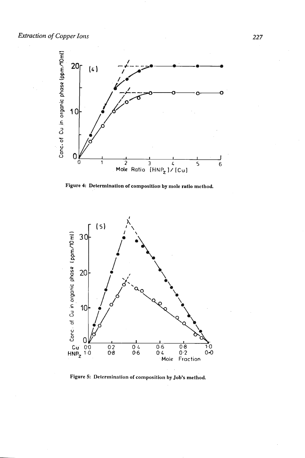**Extraction of Copper Ions** 



Figure 4: Determination of composition by mole ratio method.



**Figure 5: Determination of composition by Job's method**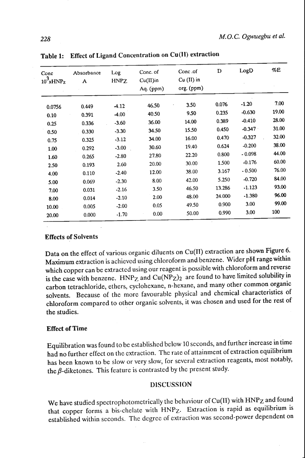| Conc<br>$10^3$ xHNPz | Absorbance<br>A | Log<br><b>HNPZ</b> | Conc. of<br>$Cu(II)$ in<br>Aq. (ppm) | Conc.of<br>$Cu$ (II) in<br>org. (ppm) | D      | LogD     | %E    |
|----------------------|-----------------|--------------------|--------------------------------------|---------------------------------------|--------|----------|-------|
|                      | 0.449           | $-4.12$            | 46.50                                | 3.50                                  | 0.076  | $-1.20$  | 7.00  |
| 0.0756<br>0.10       | 0.391           | $-4.00$            | 40.50                                | 9.50                                  | 0.235  | $-0.630$ | 19.00 |
| 0.25                 | 0.336           | $-3.60$            | 36.00                                | 14.00                                 | 0.389  | $-0.410$ | 28.00 |
| 0.50                 | 0.330           | $-3.30$            | 34.50                                | 15.50                                 | 0.450  | $-0.347$ | 31.00 |
| 0.75                 | 0.325           | $-3.12$            | 34.00                                | 16.00                                 | 0.470  | $-0.327$ | 32.00 |
| 1.00                 | 0.292           | $-3.00$            | 30.60                                | 19.40                                 | 0.624  | $-0.200$ | 38.00 |
| 1.60                 | 0.265           | $-2.80$            | 27.80                                | 22.20                                 | 0.800  | $-0.098$ | 44.00 |
| 2.50                 | 0.193           | 2.60               | 20.00                                | 30.00                                 | 1.500  | $-0.176$ | 60.00 |
| 4.00                 | 0.110           | $-2.40$            | 12.00                                | 38.00                                 | 3.167  | $-0.500$ | 76.00 |
| 5.00                 | 0.069           | $-2.30$            | 8.00                                 | 42.00                                 | 5.250  | $-0.720$ | 84.00 |
| 7.00                 | 0.031           | $-2.16$            | 3.50                                 | 46.50                                 | 13.286 | $-1.123$ | 93.00 |
| 8.00                 | 0.014           | $-2.10$            | 2.00                                 | 48.00                                 | 24.000 | $-1.380$ | 96.00 |
| 10.00                | 0.005           | $-2.00$            | 0.05                                 | 49.50                                 | 0.900  | 3.00     | 99.00 |
| 20.00                | 0.000           | $-1.70$            | 0.00                                 | 50.00                                 | 0.990  | 3.00     | 100   |

Table 1: Effect of Ligand Concentration on Cu(l1) extraction

## Effects of Solvents

Data on the effect of various organic diluents on Cu(1T) extraction are shown Figure 6. Maximum extraction is achieved using chloroform and benzene. Wider pH range within which copper can be extracted using our reagent is possible with chloroform and reverse is the case with benzene.  $HNP_Z$  and  $Cu(NP_Z)_2$  are found to have limited solubility in carbon tetrachloride, ethers, cyclohexane, n-hexane, and many other common organic solvents. Because of the more favourable physical and chemical characteristics of chloroform compared to other organic solvents, it was chosen and used for the rest of the studies.

# Effect of Time

Equilibration was found to be established bclow 10 seconds, and further increase in time had no further effect on the cxtraction. The rate of attainment of extraction equilibrium has been known to be slow or very slow, for several extraction reagents, most notably, the  $\beta$ -diketones. This feature is contrasted by the present study.

## **DISCUSSION**

We have studied spectropliotometricaIly the behaviour of Cu(I1) with **HNPz** and found that copper forms a bis-chelate with **HNPz.** Extraction is rapid as equilibrium is established within seconds. The degree of cxtraction was second-power dependent on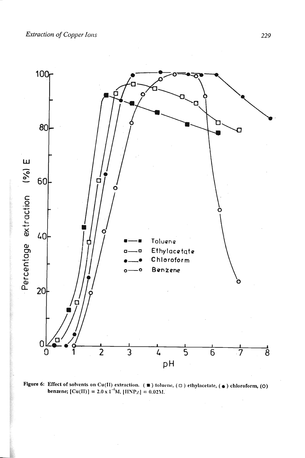

Figure 6: Effect of solvents on Cu(II) extraction. ( $\blacksquare$ ) toluene, ( $\Box$ ) ethylacetate, ( $\spadesuit$ ) chloroform, (O) benzene; [Cu(II)] = 2.0 x 1<sup>-4</sup>M, [HNP<sub>Z</sub>] = 0.02M.